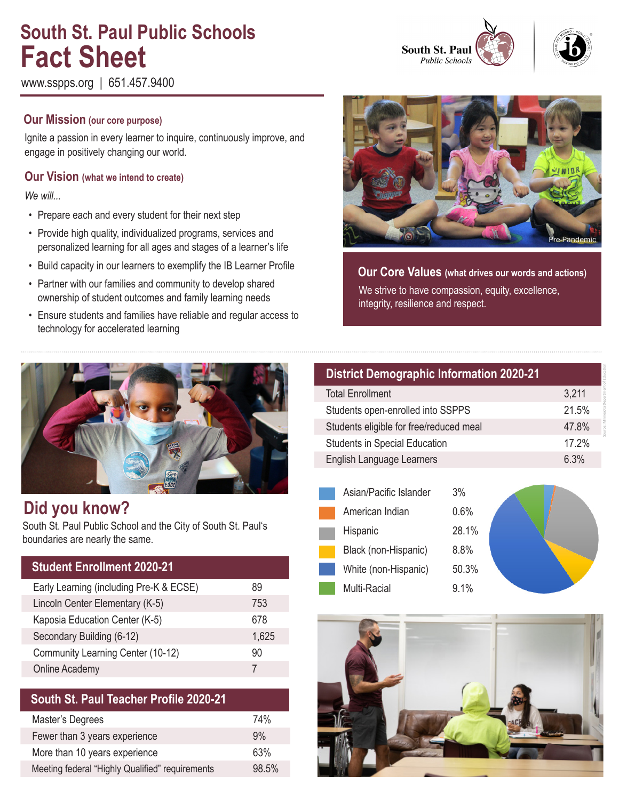# **South St. Paul Public Schools Fact Sheet**

www.sspps.org | 651.457.9400

## **Our Mission (our core purpose)**

Ignite a passion in every learner to inquire, continuously improve, and engage in positively changing our world.

## **Our Vision (what we intend to create)**

*We will...*

- Prepare each and every student for their next step
- Provide high quality, individualized programs, services and personalized learning for all ages and stages of a learner's life
- Build capacity in our learners to exemplify the IB Learner Profile
- Partner with our families and community to develop shared ownership of student outcomes and family learning needs
- Ensure students and families have reliable and regular access to technology for accelerated learning



**Our Core Values (what drives our words and actions)** We strive to have compassion, equity, excellence, integrity, resilience and respect.



## **Did you know?**

South St. Paul Public School and the City of South St. Paul's boundaries are nearly the same.

| <b>Student Enrollment 2020-21</b>       |       |
|-----------------------------------------|-------|
| Early Learning (including Pre-K & ECSE) | 89    |
| Lincoln Center Elementary (K-5)         | 753   |
| Kaposia Education Center (K-5)          | 678   |
| Secondary Building (6-12)               | 1,625 |
| Community Learning Center (10-12)       | 90    |
| Online Academy                          | 7     |

## **South St. Paul Teacher Profile 2020-21**

| Master's Degrees                                | 74%   |
|-------------------------------------------------|-------|
| Fewer than 3 years experience                   | 9%    |
| More than 10 years experience                   | 63%   |
| Meeting federal "Highly Qualified" requirements | 98.5% |

| <b>District Demographic Information 2020-21</b> |       |  |
|-------------------------------------------------|-------|--|
| <b>Total Enrollment</b>                         | 3,211 |  |
| Students open-enrolled into SSPPS               | 21.5% |  |
| Students eligible for free/reduced meal         | 47.8% |  |
| <b>Students in Special Education</b>            | 17.2% |  |
| English Language Learners                       | 6.3%  |  |

Source: Minnesota Department of Education

| Asian/Pacific Islander | 3%    |  |
|------------------------|-------|--|
| American Indian        | 0.6%  |  |
| Hispanic               | 28.1% |  |
| Black (non-Hispanic)   | 8.8%  |  |
| White (non-Hispanic)   | 50.3% |  |
| Multi-Racial           | 9.1%  |  |